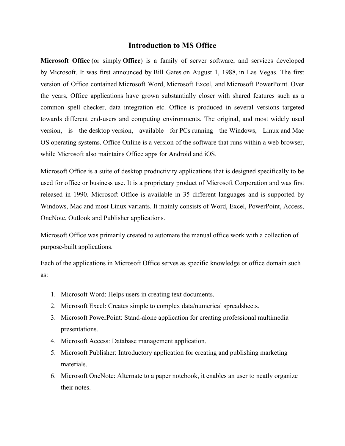### **Introduction to MS Office**

**Microsoft Office** (or simply **Office**) is a family of server software, and services developed by Microsoft. It was first announced by Bill Gates on August 1, 1988, in Las Vegas. The first version of Office contained Microsoft Word, Microsoft Excel, and Microsoft PowerPoint. Over the years, Office applications have grown substantially closer with shared features such as a common spell checker, data integration etc. Office is produced in several versions targeted towards different end-users and computing environments. The original, and most widely used version, is the desktop version, available for PCs running the Windows, Linux and Mac OS operating systems. Office Online is a version of the software that runs within a web browser, while Microsoft also maintains Office apps for Android and iOS.

Microsoft Office is a suite of desktop productivity applications that is designed specifically to be used for office or business use. It is a proprietary product of Microsoft Corporation and was first released in 1990. Microsoft Office is available in 35 different languages and is supported by Windows, Mac and most Linux variants. It mainly consists of Word, Excel, PowerPoint, Access, OneNote, Outlook and Publisher applications.

Microsoft Office was primarily created to automate the manual office work with a collection of purpose-built applications.

Each of the applications in Microsoft Office serves as specific knowledge or office domain such as:

- 1. Microsoft Word: Helps users in creating text documents.
- 2. Microsoft Excel: Creates simple to complex data/numerical spreadsheets.
- 3. Microsoft PowerPoint: Stand-alone application for creating professional multimedia presentations.
- 4. Microsoft Access: Database management application.
- 5. Microsoft Publisher: Introductory application for creating and publishing marketing materials.
- 6. Microsoft OneNote: Alternate to a paper notebook, it enables an user to neatly organize their notes.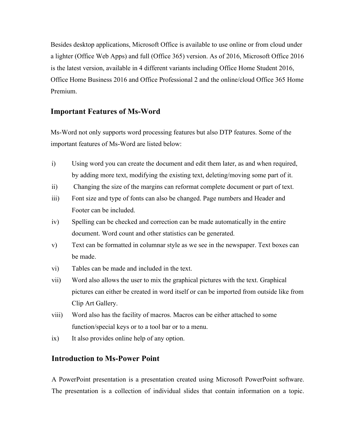Besides desktop applications, Microsoft Office is available to use online or from cloud under a lighter (Office Web Apps) and full (Office 365) version. As of 2016, Microsoft Office 2016 is the latest version, available in 4 different variants including Office Home Student 2016, Office Home Business 2016 and Office Professional 2 and the online/cloud Office 365 Home Premium.

# **Important Features of Ms-Word**

Ms-Word not only supports word processing features but also DTP features. Some of the important features of Ms-Word are listed below:

- i) Using word you can create the document and edit them later, as and when required, by adding more text, modifying the existing text, deleting/moving some part of it.
- ii) Changing the size of the margins can reformat complete document or part of text.
- iii) Font size and type of fonts can also be changed. Page numbers and Header and Footer can be included.
- iv) Spelling can be checked and correction can be made automatically in the entire document. Word count and other statistics can be generated.
- v) Text can be formatted in columnar style as we see in the newspaper. Text boxes can be made.
- vi) Tables can be made and included in the text.
- vii) Word also allows the user to mix the graphical pictures with the text. Graphical pictures can either be created in word itself or can be imported from outside like from Clip Art Gallery.
- viii) Word also has the facility of macros. Macros can be either attached to some function/special keys or to a tool bar or to a menu.
- ix) It also provides online help of any option.

# **Introduction to Ms-Power Point**

A PowerPoint presentation is a presentation created using Microsoft PowerPoint software. The presentation is a collection of individual slides that contain information on a topic.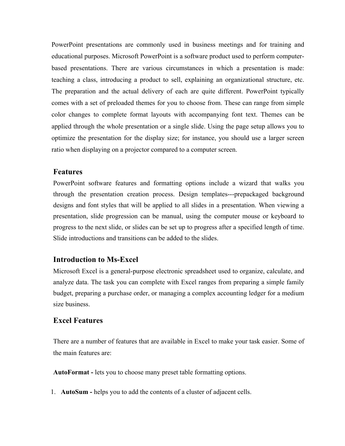PowerPoint presentations are commonly used in business meetings and for training and educational purposes. Microsoft PowerPoint is a software product used to perform computerbased presentations. There are various circumstances in which a presentation is made: teaching a class, introducing a product to sell, explaining an organizational structure, etc. The preparation and the actual delivery of each are quite different. PowerPoint typically comes with a set of preloaded themes for you to choose from. These can range from simple color changes to complete format layouts with accompanying font text. Themes can be applied through the whole presentation or a single slide. Using the page setup allows you to optimize the presentation for the display size; for instance, you should use a larger screen ratio when displaying on a projector compared to a computer screen.

### **Features**

PowerPoint software features and formatting options include a wizard that walks you through the presentation creation process. Design templates---prepackaged background designs and font styles that will be applied to all slides in a presentation. When viewing a presentation, slide progression can be manual, using the computer mouse or keyboard to progress to the next slide, or slides can be set up to progress after a specified length of time. Slide introductions and transitions can be added to the slides.

### **Introduction to Ms-Excel**

Microsoft Excel is a general-purpose electronic spreadsheet used to organize, calculate, and analyze data. The task you can complete with Excel ranges from preparing a simple family budget, preparing a purchase order, or managing a complex accounting ledger for a medium size business.

## **Excel Features**

There are a number of features that are available in Excel to make your task easier. Some of the main features are:

**AutoFormat -** lets you to choose many preset table formatting options.

1. **AutoSum -** helps you to add the contents of a cluster of adjacent cells.